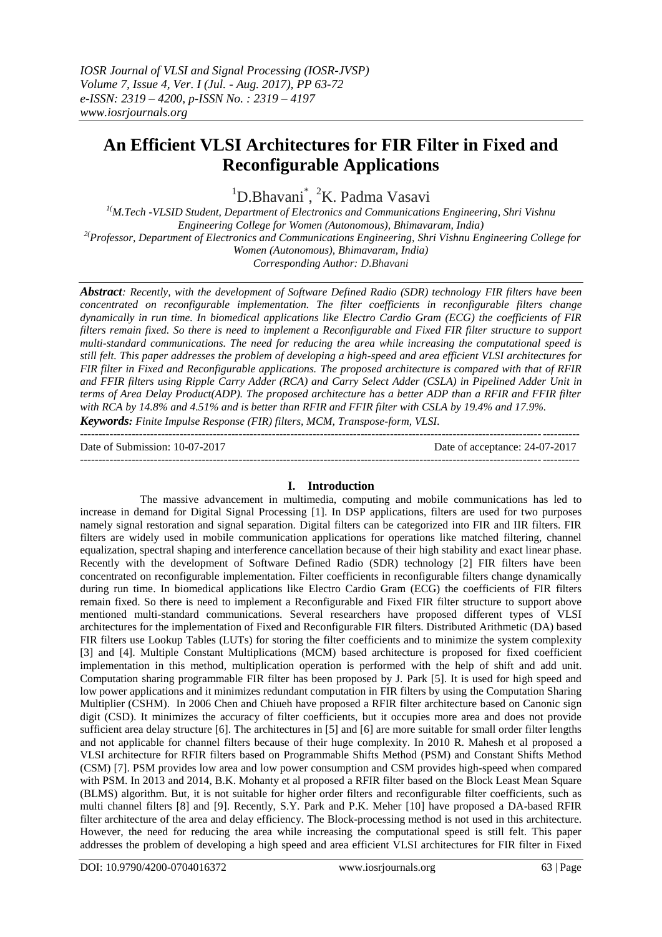# **An Efficient VLSI Architectures for FIR Filter in Fixed and Reconfigurable Applications**

<sup>1</sup>D.Bhavani<sup>\*</sup>, <sup>2</sup>K. Padma Vasavi

*1(M.Tech -VLSID Student, Department of Electronics and Communications Engineering, Shri Vishnu Engineering College for Women (Autonomous), Bhimavaram, India) 2(Professor, Department of Electronics and Communications Engineering, Shri Vishnu Engineering College for Women (Autonomous), Bhimavaram, India) Corresponding Author: D.Bhavani*

*Abstract: Recently, with the development of Software Defined Radio (SDR) technology FIR filters have been concentrated on reconfigurable implementation. The filter coefficients in reconfigurable filters change dynamically in run time. In biomedical applications like Electro Cardio Gram (ECG) the coefficients of FIR filters remain fixed. So there is need to implement a Reconfigurable and Fixed FIR filter structure to support multi-standard communications. The need for reducing the area while increasing the computational speed is still felt. This paper addresses the problem of developing a high-speed and area efficient VLSI architectures for FIR filter in Fixed and Reconfigurable applications. The proposed architecture is compared with that of RFIR and FFIR filters using Ripple Carry Adder (RCA) and Carry Select Adder (CSLA) in Pipelined Adder Unit in terms of Area Delay Product(ADP). The proposed architecture has a better ADP than a RFIR and FFIR filter with RCA by 14.8% and 4.51% and is better than RFIR and FFIR filter with CSLA by 19.4% and 17.9%. Keywords: Finite Impulse Response (FIR) filters, MCM, Transpose-form, VLSI.*

Date of Submission: 10-07-2017 Date of acceptance: 24-07-2017

---------------------------------------------------------------------------------------------------------------------------------------

# **I. Introduction**

---------------------------------------------------------------------------------------------------------------------------------------

The massive advancement in multimedia, computing and mobile communications has led to increase in demand for Digital Signal Processing [1]. In DSP applications, filters are used for two purposes namely signal restoration and signal separation. Digital filters can be categorized into FIR and IIR filters. FIR filters are widely used in mobile communication applications for operations like matched filtering, channel equalization, spectral shaping and interference cancellation because of their high stability and exact linear phase. Recently with the development of Software Defined Radio (SDR) technology [2] FIR filters have been concentrated on reconfigurable implementation. Filter coefficients in reconfigurable filters change dynamically during run time. In biomedical applications like Electro Cardio Gram (ECG) the coefficients of FIR filters remain fixed. So there is need to implement a Reconfigurable and Fixed FIR filter structure to support above mentioned multi-standard communications. Several researchers have proposed different types of VLSI architectures for the implementation of Fixed and Reconfigurable FIR filters. Distributed Arithmetic (DA) based FIR filters use Lookup Tables (LUTs) for storing the filter coefficients and to minimize the system complexity [3] and [4]. Multiple Constant Multiplications (MCM) based architecture is proposed for fixed coefficient implementation in this method, multiplication operation is performed with the help of shift and add unit. Computation sharing programmable FIR filter has been proposed by J. Park [5]. It is used for high speed and low power applications and it minimizes redundant computation in FIR filters by using the Computation Sharing Multiplier (CSHM). In 2006 Chen and Chiueh have proposed a RFIR filter architecture based on Canonic sign digit (CSD). It minimizes the accuracy of filter coefficients, but it occupies more area and does not provide sufficient area delay structure [6]. The architectures in [5] and [6] are more suitable for small order filter lengths and not applicable for channel filters because of their huge complexity. In 2010 R. Mahesh et al proposed a VLSI architecture for RFIR filters based on Programmable Shifts Method (PSM) and Constant Shifts Method (CSM) [7]. PSM provides low area and low power consumption and CSM provides high-speed when compared with PSM. In 2013 and 2014, B.K. Mohanty et al proposed a RFIR filter based on the Block Least Mean Square (BLMS) algorithm. But, it is not suitable for higher order filters and reconfigurable filter coefficients, such as multi channel filters [8] and [9]. Recently, S.Y. Park and P.K. Meher [10] have proposed a DA-based RFIR filter architecture of the area and delay efficiency. The Block-processing method is not used in this architecture. However, the need for reducing the area while increasing the computational speed is still felt. This paper addresses the problem of developing a high speed and area efficient VLSI architectures for FIR filter in Fixed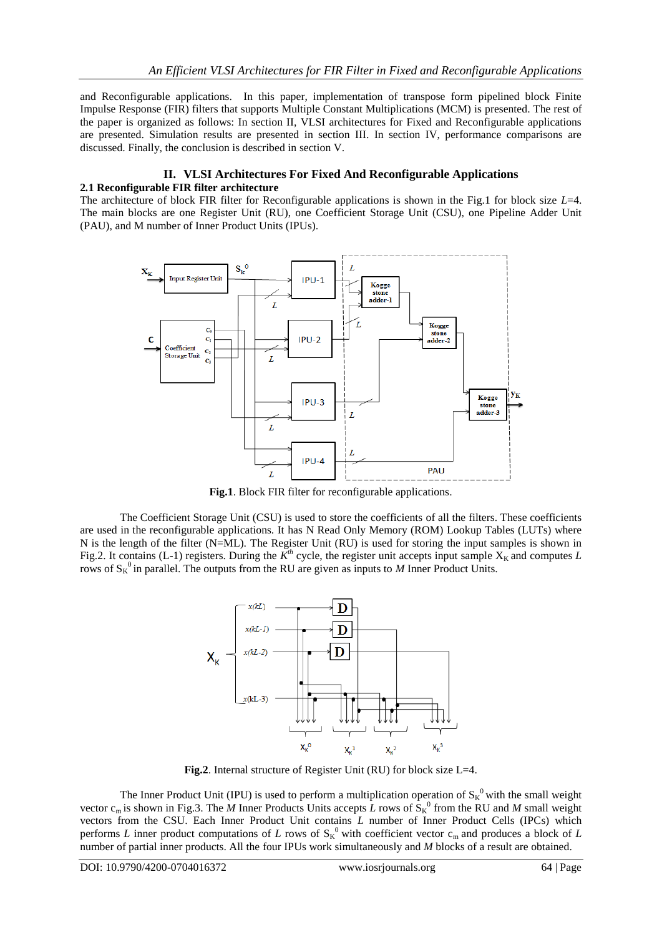and Reconfigurable applications. In this paper, implementation of transpose form pipelined block Finite Impulse Response (FIR) filters that supports Multiple Constant Multiplications (MCM) is presented. The rest of the paper is organized as follows: In section II, VLSI architectures for Fixed and Reconfigurable applications are presented. Simulation results are presented in section III. In section IV, performance comparisons are discussed. Finally, the conclusion is described in section V.

### **II. VLSI Architectures For Fixed And Reconfigurable Applications 2***.***1 Reconfigurable FIR filter architecture**

The architecture of block FIR filter for Reconfigurable applications is shown in the Fig.1 for block size *L*=4. The main blocks are one Register Unit (RU), one Coefficient Storage Unit (CSU), one Pipeline Adder Unit (PAU), and M number of Inner Product Units (IPUs).



**Fig.1**. Block FIR filter for reconfigurable applications.

The Coefficient Storage Unit (CSU) is used to store the coefficients of all the filters. These coefficients are used in the reconfigurable applications. It has N Read Only Memory (ROM) Lookup Tables (LUTs) where N is the length of the filter (N=ML). The Register Unit (RU) is used for storing the input samples is shown in Fig.2. It contains (L-1) registers. During the  $K^{th}$  cycle, the register unit accepts input sample  $X_K$  and computes *L* rows of  $S_K^0$  in parallel. The outputs from the RU are given as inputs to *M* Inner Product Units.



Fig.2. Internal structure of Register Unit (RU) for block size L=4.

The Inner Product Unit (IPU) is used to perform a multiplication operation of  $S_K^0$  with the small weight vector  $c_m$  is shown in Fig.3. The *M* Inner Products Units accepts *L* rows of  $\hat{S}_K^0$  from the RU and *M* small weight vectors from the CSU. Each Inner Product Unit contains *L* number of Inner Product Cells (IPCs) which performs *L* inner product computations of *L* rows of  $S_K^0$  with coefficient vector  $c_m$  and produces a block of *L* number of partial inner products. All the four IPUs work simultaneously and *M* blocks of a result are obtained.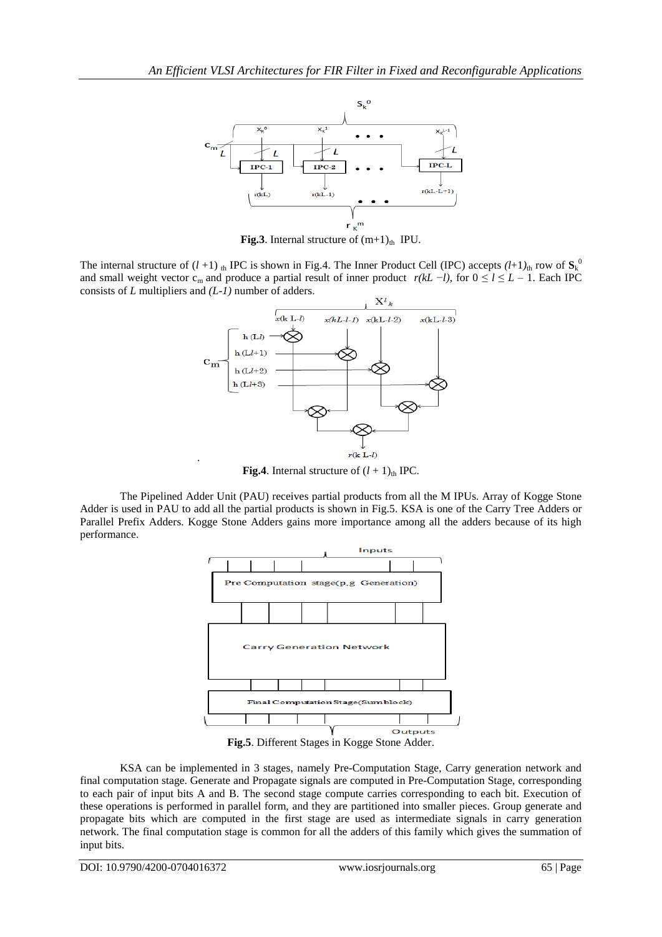

**Fig.3**. Internal structure of  $(m+1)_{th}$  IPU.

The internal structure of  $(l+1)$  th IPC is shown in Fig.4. The Inner Product Cell (IPC) accepts  $(l+1)$ <sub>th</sub> row of  $S_k^0$ and small weight vector c<sub>m</sub> and produce a partial result of inner product  $r(kL - l)$ , for  $0 \le l \le L - 1$ . Each IPC consists of *L* multipliers and *(L-1)* number of adders.



**Fig.4**. Internal structure of  $(l + 1)$ <sub>th</sub> IPC.

The Pipelined Adder Unit (PAU) receives partial products from all the M IPUs. Array of Kogge Stone Adder is used in PAU to add all the partial products is shown in Fig.5. KSA is one of the Carry Tree Adders or Parallel Prefix Adders. Kogge Stone Adders gains more importance among all the adders because of its high performance.



**Fig.5**. Different Stages in Kogge Stone Adder.

KSA can be implemented in 3 stages, namely Pre-Computation Stage, Carry generation network and final computation stage. Generate and Propagate signals are computed in Pre-Computation Stage, corresponding to each pair of input bits A and B. The second stage compute carries corresponding to each bit. Execution of these operations is performed in parallel form, and they are partitioned into smaller pieces. Group generate and propagate bits which are computed in the first stage are used as intermediate signals in carry generation network. The final computation stage is common for all the adders of this family which gives the summation of input bits.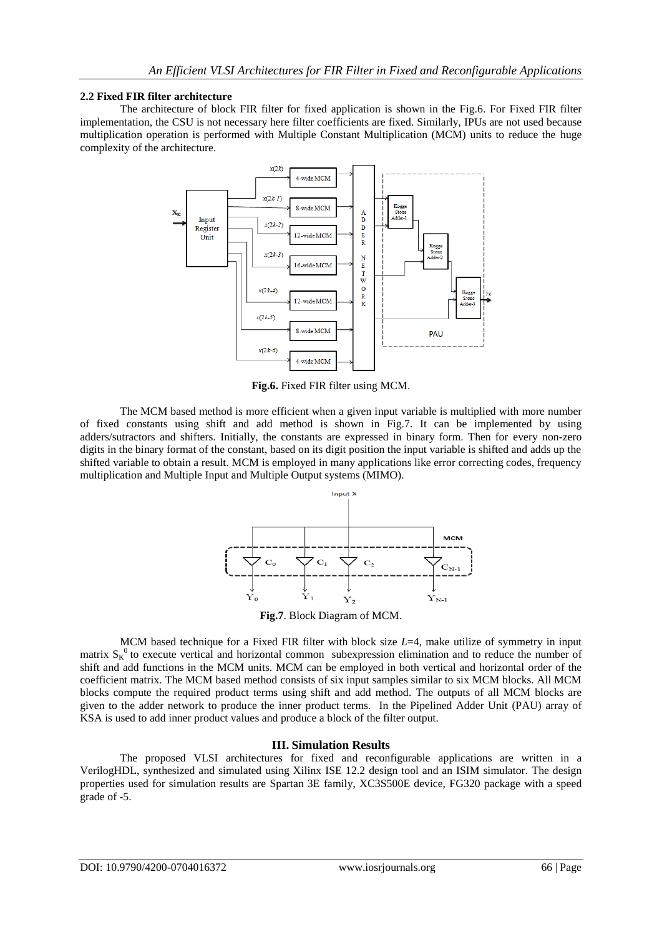## **2.2 Fixed FIR filter architecture**

The architecture of block FIR filter for fixed application is shown in the Fig.6. For Fixed FIR filter implementation, the CSU is not necessary here filter coefficients are fixed. Similarly, IPUs are not used because multiplication operation is performed with Multiple Constant Multiplication (MCM) units to reduce the huge complexity of the architecture.



**Fig.6.** Fixed FIR filter using MCM.

The MCM based method is more efficient when a given input variable is multiplied with more number of fixed constants using shift and add method is shown in Fig.7. It can be implemented by using adders/sutractors and shifters. Initially, the constants are expressed in binary form. Then for every non-zero digits in the binary format of the constant, based on its digit position the input variable is shifted and adds up the shifted variable to obtain a result. MCM is employed in many applications like error correcting codes, frequency multiplication and Multiple Input and Multiple Output systems (MIMO).



**Fig.7**. Block Diagram of MCM.

MCM based technique for a Fixed FIR filter with block size *L*=4, make utilize of symmetry in input matrix  $S_K^0$  to [execute](https://www.powerthesaurus.org/execute/synonyms) vertical and horizontal common subexpression elimination and to reduce the number of shift and add [functions](https://www.powerthesaurus.org/functions/synonyms) in the MCM units. MCM can be employed in both vertical and horizontal order of the coefficient matrix. The MCM based method consists of six input samples similar to six MCM blocks. All MCM blocks compute the required product terms using shift and add method. The outputs of all MCM blocks are given to the adder network to produce the inner product terms. In the Pipelined Adder Unit (PAU) array of KSA is used to add inner product values and produce a block of the filter output.

# **III. Simulation Results**

The proposed VLSI architectures for fixed and reconfigurable applications are written in a VerilogHDL, synthesized and simulated using Xilinx ISE 12.2 design tool and an ISIM simulator. The design properties used for simulation results are Spartan 3E family, XC3S500E device, FG320 package with a speed grade of -5.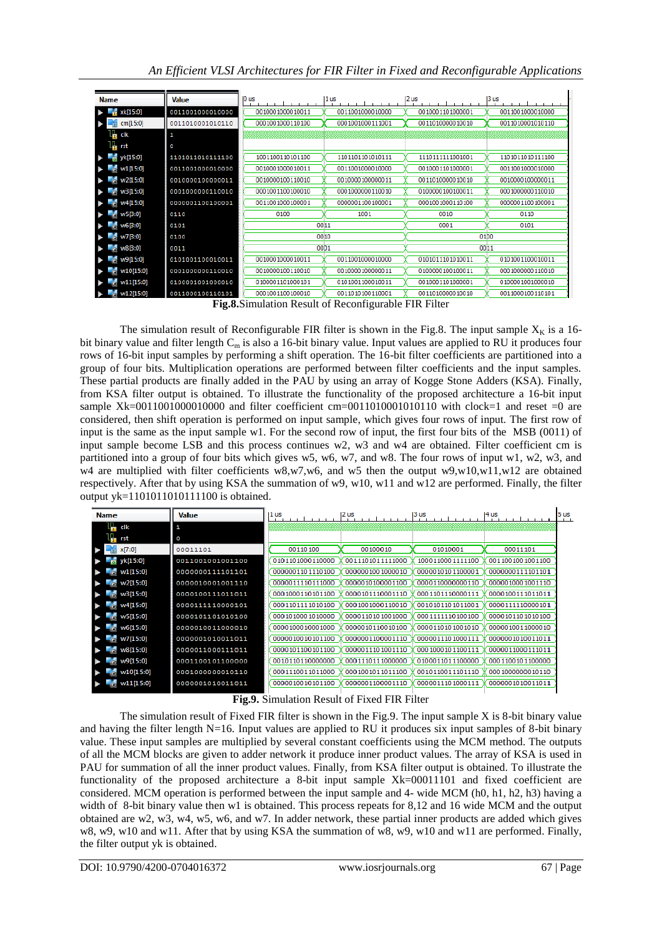| <b>Name</b>            | <b>Value</b>     | 10 us            | 1 us             | 2us               | 13 us             |
|------------------------|------------------|------------------|------------------|-------------------|-------------------|
| xk[15:0]               | 0011001000010000 | 0010001000010011 | 0011001000010000 | 0010001101000001  | 0011001000010000  |
| ¥<br>cm[15:0]          | 0011010001010110 | 0001001000110100 | 0001001000111001 | 0011010000010010  | 0011010001010110  |
| l <mark>h</mark> dk    | 1                |                  |                  |                   |                   |
| $L_{\overline{r}}$ rst | o                |                  |                  |                   |                   |
| $\frac{1}{2}$ yk[15:0] | 1101011010111100 | 1001100110101100 | 1101101101010111 | 11101111111001001 | 1101011010111100  |
| $\approx$ w1[15:0]     | 0011001000010000 | 0010001000010011 | 0011001000010000 | 0010001101000001  | 0011001000010000  |
| $\approx$ w2[15:0]     | 0010000100000011 | 0010000100110010 | 0010000100000011 | 0011010000010010  | 0010000100000011  |
| $e$ w3[15:0]           | 0001000000110010 | 0001001100100010 | 0001000000110010 | 0100000100100011  | 0001000000110010  |
| $\approx$ w4[15:0]     | 0000001100100001 | 0011001000100001 | 0000001100100001 | 0001001000110100  | 0000001100100001  |
| W5[3:0]                | 0110             | 0100             | 1001             | 0010              | 0110              |
| $\approx$ w6[3:0]      | 0101             | 0011             |                  | 0001              | 0101              |
| $\odot$ w7[3:0]        | 0100             | 0010             |                  |                   | 01 <sub>D</sub> o |
| $^{\circ}$ w8[3:0]     | 0011             | 00D <sub>1</sub> |                  |                   | 0011              |
| $e^{w9[15:0]}$         | 0101001100010011 | 0010001000010011 | 0011001000010000 | 0101011101010011  | 0101001100010011  |
| W10[15:0]              | 0001000000110010 | 0010000100110010 | 0010000100000011 | 0100000100100011  | 0001000000110010  |
| $\approx$ w11[15:0]    | 0100001001000010 | 0100001101000101 | 0101001100010011 | 0010001101000001  | 0100001001000010  |
| M2[15:0]               | 0011000100110101 | 0001001100100010 | 0011010100110001 | 0011010000010010  | 0011000100110101  |

**Fig.8.**Simulation Result of Reconfigurable FIR Filter

The simulation result of Reconfigurable FIR filter is shown in the Fig.8. The input sample  $X_K$  is a 16bit binary value and filter length  $C_m$  is also a 16-bit binary value. Input values are applied to RU it produces four rows of 16-bit input samples by performing a shift operation. The 16-bit filter coefficients are partitioned into a group of four bits. Multiplication operations are performed between filter coefficients and the input samples. These partial products are finally added in the PAU by using an array of Kogge Stone Adders (KSA). Finally, from KSA filter output is obtained. To illustrate the functionality of the proposed architecture a 16-bit input sample Xk=0011001000010000 and filter coefficient cm=0011010001010110 with clock=1 and reset =0 are considered, then shift operation is performed on input sample, which gives four rows of input. The first row of input is the same as the input sample w1. For the second row of input, the first four bits of the MSB (0011) of input sample become LSB and this process continues w2, w3 and w4 are obtained. Filter coefficient cm is partitioned into a group of four bits which gives w5, w6, w7, and w8. The four rows of input w1, w2, w3, and w4 are multiplied with filter coefficients w8,w7,w6, and w5 then the output w9,w10,w11,w12 are obtained respectively. After that by using KSA the summation of w9, w10, w11 and w12 are performed. Finally, the filter output yk=1101011010111100 is obtained.

| <b>Name</b>          | <b>Value</b>     | 2us<br>3 us<br>1 <sub>us</sub><br>4 us |                  |                  |                  | 5 us |
|----------------------|------------------|----------------------------------------|------------------|------------------|------------------|------|
| Τ,<br>clk            | 1                |                                        |                  |                  |                  |      |
| $\blacksquare$ rst   | O                |                                        |                  |                  |                  |      |
| x[7:0]               | 00011101         | 00110100                               | 00100010         | 01010001         | 00011101         |      |
| $w$ yk[15:0]         | 0011001001001100 | 0101101000110000                       | 0011101011111000 | 1000110001111100 | 0011001001001100 |      |
| M[15:0]              | 0000000111101101 | 0000001101110100                       | 0000001001000010 | 0000010101100001 | 0000000111101101 |      |
| W2[15:0]             | 0000010001001110 | 0000011110111000                       | 0000010100001100 | 0000110000000110 | 0000010001001110 |      |
| W3[15:0]             | 0000100111011011 | 0001000110101100                       | 0000101110001110 | 0001101110000111 | 0000100111011011 |      |
| W4[15:0]             | 0000111110000101 | 0001101111010100                       | 0001001000110010 | 0010101101011001 | 0000111110000101 |      |
| W5[15:0]             | 0000101101010100 | 0001010001010000                       | 0000110101001000 | 0001111110100100 | 0000101101010100 |      |
| W6[15:0]             | 0000010011000010 | 0000100010001000                       | 0000010110010100 | 0000110101001010 | 0000010011000010 |      |
| W7[15:0]             | 0000001010011011 | 0000010010101100                       | 0000001100001110 | 0000011101000111 | 0000001010011011 |      |
| W8[15:0]             | 0000011000111011 | 0000101100101100                       | 0000011101001110 | 0001000101100111 | 0000011000111011 |      |
| $~^{\circ}$ w9[15:0] | 0001100101100000 | 0010110110000000                       | 0001110111000000 | 0100011011100000 | 0001100101100000 |      |
| w10[15:0]            | 0001000000010110 | 0001110011011000                       | 0001001011011100 | 0010110011101110 | 0001000000010110 |      |
| w11[15:0]            | 0000001010011011 | 0000010010101100                       | 0000001100001110 | 0000011101000111 | 0000001010011011 |      |

**Fig.9.** Simulation Result of Fixed FIR Filter

The simulation result of Fixed FIR filter is shown in the Fig.9. The input sample X is 8-bit binary value and having the filter length N=16. Input values are applied to RU it produces six input samples of 8-bit binary value. These input samples are multiplied by several constant coefficients using the MCM method. The outputs of all the MCM blocks are given to adder network it produce inner product values. The array of KSA is used in PAU for summation of all the inner product values. Finally, from KSA filter output is obtained. To illustrate the functionality of the proposed architecture a 8-bit input sample Xk=00011101 and fixed coefficient are considered. MCM operation is performed between the input sample and 4- wide MCM (h0, h1, h2, h3) having a width of 8-bit binary value then w1 is obtained. This process repeats for 8,12 and 16 wide MCM and the output obtained are w2, w3, w4, w5, w6, and w7. In adder network, these partial inner products are added which gives w8, w9, w10 and w11. After that by using KSA the summation of w8, w9, w10 and w11 are performed. Finally, the filter output yk is obtained.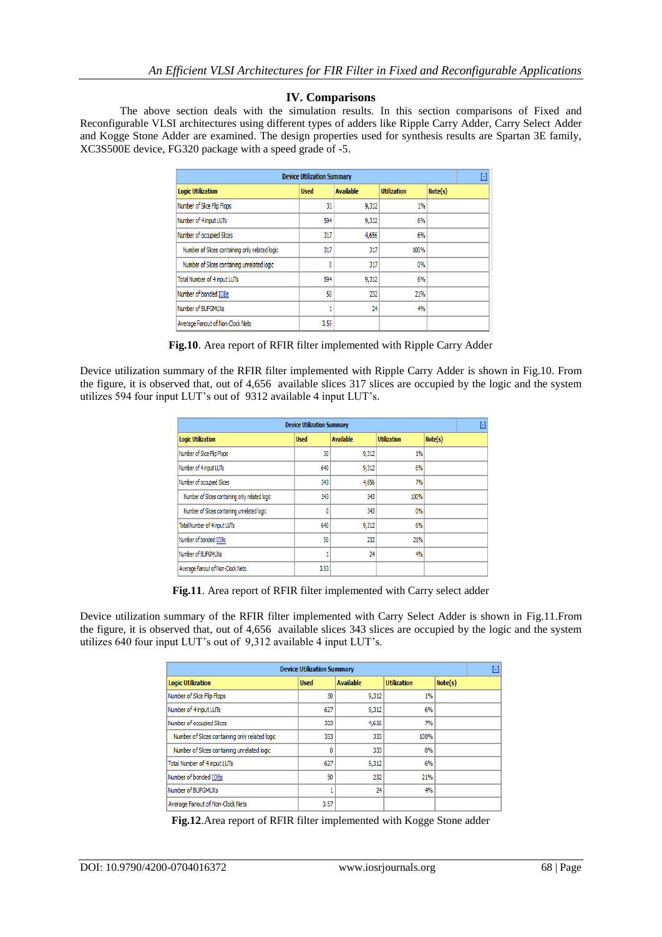# **IV. Comparisons**

The above section deals with the simulation results. In this section comparisons of Fixed and Reconfigurable VLSI architectures using different types of adders like Ripple Carry Adder, Carry Select Adder and Kogge Stone Adder are examined. The design properties used for synthesis results are Spartan 3E family, XC3S500E device, FG320 package with a speed grade of -5.

| <b>Device Utilization Summary</b>              |             |                  |                    |         |  |  |
|------------------------------------------------|-------------|------------------|--------------------|---------|--|--|
| <b>Logic Utilization</b>                       | <b>Used</b> | <b>Available</b> | <b>Utilization</b> | Note(s) |  |  |
| Number of Slice Flip Flops                     | 31          | 9,312            | 1%                 |         |  |  |
| Number of 4 input LUTs                         | 594         | 9,312            | 6%                 |         |  |  |
| Number of occupied Slices                      | 317         | 4,656            | 6%                 |         |  |  |
| Number of Slices containing only related logic | 317         | 317              | 100%               |         |  |  |
| Number of Slices containing unrelated logic    | 0           | 317              | 0%                 |         |  |  |
| Total Number of 4 input LUTs                   | 594         | 9,312            | 6%                 |         |  |  |
| Number of bonded IOBs                          | 50          | 232              | 21%                |         |  |  |
| Number of BUFGMUXs                             |             | 24               | 4%                 |         |  |  |
| Average Fanout of Non-Clock Nets               | 3.55        |                  |                    |         |  |  |

**Fig.10**. Area report of RFIR filter implemented with Ripple Carry Adder

Device utilization summary of the RFIR filter implemented with Ripple Carry Adder is shown in Fig.10. From the figure, it is observed that, out of 4,656 available slices 317 slices are occupied by the logic and the system utilizes 594 four input LUT's out of 9312 available 4 input LUT's.

| <b>Device Utilization Summary</b>              |             |                  |                    |         |  |  |
|------------------------------------------------|-------------|------------------|--------------------|---------|--|--|
| <b>Logic Utilization</b>                       | <b>Used</b> | <b>Available</b> | <b>Utilization</b> | Note(s) |  |  |
| Number of Slice Flip Flops                     | 30          | 9,312            | 1%                 |         |  |  |
| Number of 4 input LUTs                         | 640         | 9,312            | 6%                 |         |  |  |
| Number of occupied Slices                      | 343         | 4,656            | 7%                 |         |  |  |
| Number of Slices containing only related logic | 343         | 343              | 100%               |         |  |  |
| Number of Slices containing unrelated logic    | 0           | 343              | 0%                 |         |  |  |
| <b>Total Number of 4 input LUTs</b>            | 640         | 9,312            | 6%                 |         |  |  |
| Number of bonded IOBs                          | 50          | 232              | 21%                |         |  |  |
| Number of BUFGMUXs                             |             | 24               | 4%                 |         |  |  |
| Average Fanout of Non-Clock Nets               | 3.53        |                  |                    |         |  |  |

**Fig.11**. Area report of RFIR filter implemented with Carry select adder

Device utilization summary of the RFIR filter implemented with Carry Select Adder is shown in Fig.11.From the figure, it is observed that, out of 4,656 available slices 343 slices are occupied by the logic and the system utilizes 640 four input LUT's out of 9,312 available 4 input LUT's.

| <b>Device Utilization Summary</b>              |             |                  |                    |         |  |  |
|------------------------------------------------|-------------|------------------|--------------------|---------|--|--|
| <b>Logic Utilization</b>                       | <b>Used</b> | <b>Available</b> | <b>Utilization</b> | Note(s) |  |  |
| Number of Slice Flip Flops                     | 30          | 9,312            | 1%                 |         |  |  |
| Number of 4 input LUTs                         | 627         | 9,312            | 6%                 |         |  |  |
| Number of occupied Slices                      | 333         | 4,656            | 7%                 |         |  |  |
| Number of Slices containing only related logic | 333         | 333              | 100%               |         |  |  |
| Number of Slices containing unrelated logic    | ٥           | 333              | 0%                 |         |  |  |
| Total Number of 4 input LUTs                   | 627         | 9,312            | 6%                 |         |  |  |
| Number of bonded IOBs                          | 50          | 232              | 21%                |         |  |  |
| Number of BUFGMUXs                             |             | 24               | 4%                 |         |  |  |
| Average Fanout of Non-Clock Nets               | 3.57        |                  |                    |         |  |  |

**Fig.12**.Area report of RFIR filter implemented with Kogge Stone adder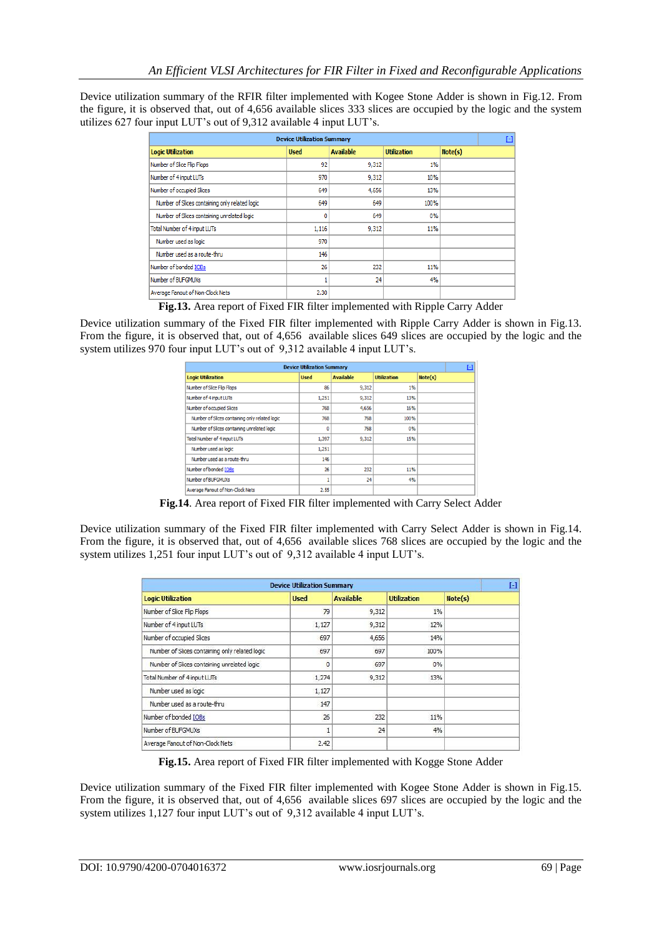Device utilization summary of the RFIR filter implemented with Kogee Stone Adder is shown in Fig.12. From the figure, it is observed that, out of 4,656 available slices 333 slices are occupied by the logic and the system utilizes 627 four input LUT's out of 9,312 available 4 input LUT's.

| <b>Device Utilization Summary</b>              |             |                  |                    |         |  |  |
|------------------------------------------------|-------------|------------------|--------------------|---------|--|--|
| <b>Logic Utilization</b>                       | <b>Used</b> | <b>Available</b> | <b>Utilization</b> | Note(s) |  |  |
| Number of Slice Flip Flops                     | 92          | 9,312            | $1\%$              |         |  |  |
| Number of 4 input LUTs                         | 970         | 9,312            | 10%                |         |  |  |
| Number of occupied Slices                      | 649         | 4,656            | 13%                |         |  |  |
| Number of Slices containing only related logic | 649         | 649              | 100%               |         |  |  |
| Number of Slices containing unrelated logic    | 0           | 649              | 0%                 |         |  |  |
| Total Number of 4 input LUTs                   | 1,116       | 9,312            | 11%                |         |  |  |
| Number used as logic                           | 970         |                  |                    |         |  |  |
| Number used as a route-thru                    | 146         |                  |                    |         |  |  |
| Number of bonded IOBs                          | 26          | 232              | 11%                |         |  |  |
| Number of BUFGMUXs                             |             | 24               | 4%                 |         |  |  |
| Average Fanout of Non-Clock Nets               | 2.30        |                  |                    |         |  |  |

**Fig.13.** Area report of Fixed FIR filter implemented with Ripple Carry Adder

Device utilization summary of the Fixed FIR filter implemented with Ripple Carry Adder is shown in Fig.13. From the figure, it is observed that, out of 4,656 available slices 649 slices are occupied by the logic and the system utilizes 970 four input LUT's out of 9,312 available 4 input LUT's.

| <b>Device Utilization Summary</b>              |             |                  |                    |         |  |  |
|------------------------------------------------|-------------|------------------|--------------------|---------|--|--|
| <b>Logic Utilization</b>                       | <b>Used</b> | <b>Available</b> | <b>Utilization</b> | Note(s) |  |  |
| Number of Slice Flip Flops                     | 86          | 9,312            | 1%                 |         |  |  |
| Number of 4 input LUTs                         | 1,251       | 9,312            | 13%                |         |  |  |
| Number of occupied Slices                      | 768         | 4,656            | 16%                |         |  |  |
| Number of Slices containing only related logic | 768         | 768              | 100%               |         |  |  |
| Number of Slices containing unrelated logic    | 0           | 768              | 0%                 |         |  |  |
| Total Number of 4 input LUTs                   | 1,397       | 9,312            | 15%                |         |  |  |
| Number used as logic                           | 1,251       |                  |                    |         |  |  |
| Number used as a route-thru                    | 146         |                  |                    |         |  |  |
| Number of bonded IOBs                          | 26          | 232              | 11%                |         |  |  |
| Number of BUFGMUXs                             |             | 24               | 4%                 |         |  |  |
| Average Fanout of Non-Clock Nets               | 2.55        |                  |                    |         |  |  |

**Fig.14**. Area report of Fixed FIR filter implemented with Carry Select Adder

Device utilization summary of the Fixed FIR filter implemented with Carry Select Adder is shown in Fig.14. From the figure, it is observed that, out of 4,656 available slices 768 slices are occupied by the logic and the system utilizes 1,251 four input LUT's out of 9,312 available 4 input LUT's.

| <b>Device Utilization Summary</b>              |             |                  |                    |         |  |
|------------------------------------------------|-------------|------------------|--------------------|---------|--|
| <b>Logic Utilization</b>                       | <b>Used</b> | <b>Available</b> | <b>Utilization</b> | Note(s) |  |
| Number of Slice Flip Flops                     | 79          | 9,312            | $1\%$              |         |  |
| Number of 4 input LUTs                         | 1,127       | 9,312            | 12%                |         |  |
| Number of occupied Slices                      | 697         | 4,656            | 14%                |         |  |
| Number of Slices containing only related logic | 697         | 697              | 100%               |         |  |
| Number of Slices containing unrelated logic    | $\Omega$    | 697              | 0%                 |         |  |
| Total Number of 4 input LUTs                   | 1,274       | 9,312            | 13%                |         |  |
| Number used as logic                           | 1,127       |                  |                    |         |  |
| Number used as a route-thru-                   | 147         |                  |                    |         |  |
| Number of bonded IOBs                          | 26          | 232              | 11%                |         |  |
| Number of BUFGMUXs                             |             | 24               | 4%                 |         |  |
| Average Fanout of Non-Clock Nets               | 2.42        |                  |                    |         |  |

**Fig.15.** Area report of Fixed FIR filter implemented with Kogge Stone Adder

Device utilization summary of the Fixed FIR filter implemented with Kogee Stone Adder is shown in Fig.15. From the figure, it is observed that, out of 4,656 available slices 697 slices are occupied by the logic and the system utilizes 1,127 four input LUT's out of 9,312 available 4 input LUT's.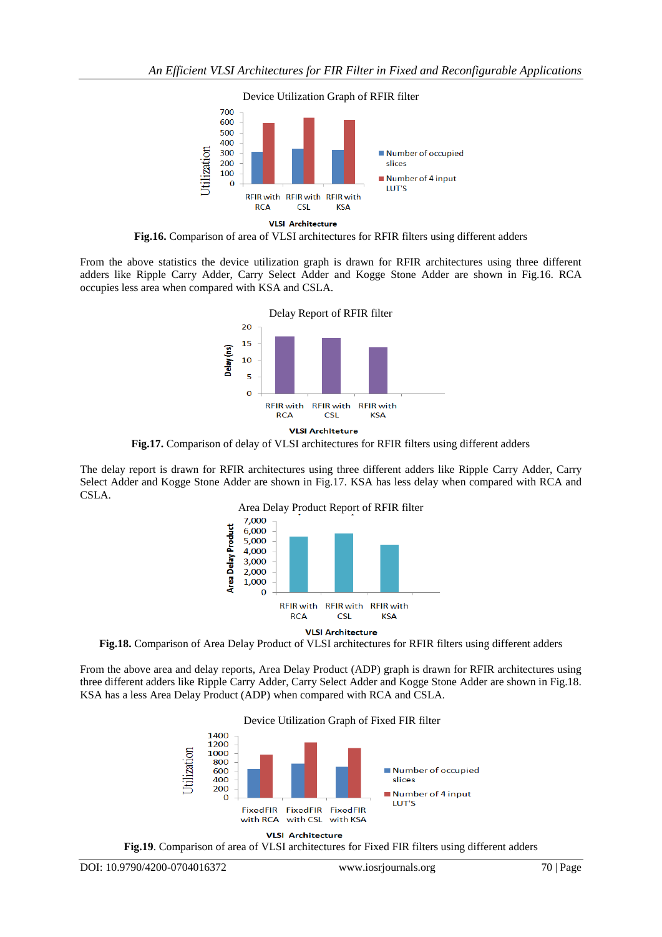

**Fig.16.** Comparison of area of VLSI architectures for RFIR filters using different adders

From the above statistics the device utilization graph is drawn for RFIR architectures using three different adders like Ripple Carry Adder, Carry Select Adder and Kogge Stone Adder are shown in Fig.16. RCA occupies less area when compared with KSA and CSLA.



**Fig.17.** Comparison of delay of VLSI architectures for RFIR filters using different adders

The delay report is drawn for RFIR architectures using three different adders like Ripple Carry Adder, Carry Select Adder and Kogge Stone Adder are shown in Fig.17. KSA has less delay when compared with RCA and CSLA.



**Fig.18.** Comparison of Area Delay Product of VLSI architectures for RFIR filters using different adders

From the above area and delay reports, Area Delay Product (ADP) graph is drawn for RFIR architectures using three different adders like Ripple Carry Adder, Carry Select Adder and Kogge Stone Adder are shown in Fig.18. KSA has a less Area Delay Product (ADP) when compared with RCA and CSLA.





**Fig.19**. Comparison of area of VLSI architectures for Fixed FIR filters using different adders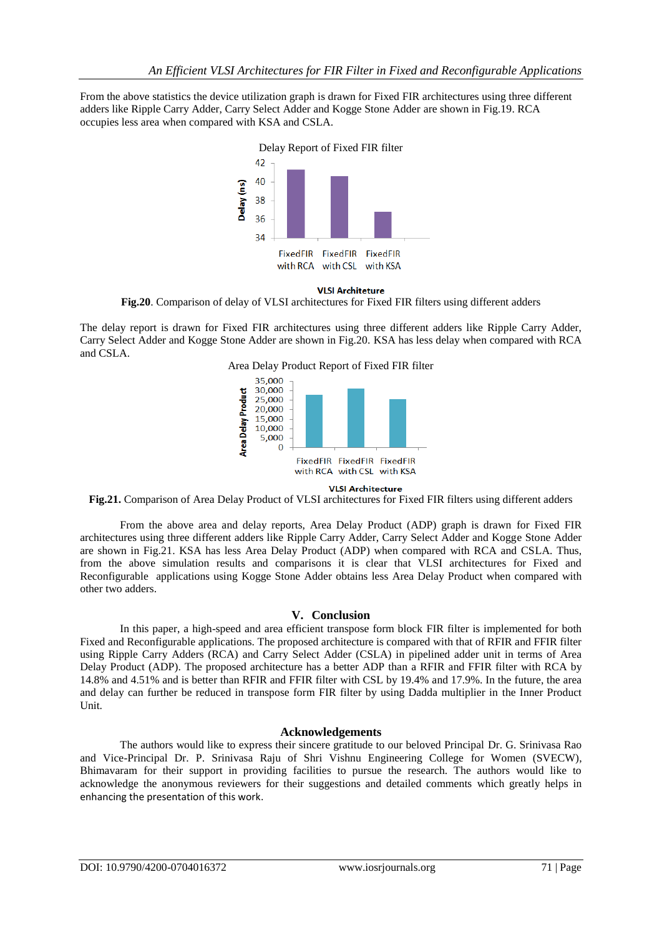From the above statistics the device utilization graph is drawn for Fixed FIR architectures using three different adders like Ripple Carry Adder, Carry Select Adder and Kogge Stone Adder are shown in Fig.19. RCA occupies less area when compared with KSA and CSLA.



**VLSI Architeture Fig.20**. Comparison of delay of VLSI architectures for Fixed FIR filters using different adders

The delay report is drawn for Fixed FIR architectures using three different adders like Ripple Carry Adder, Carry Select Adder and Kogge Stone Adder are shown in Fig.20. KSA has less delay when compared with RCA and CSLA.

Area Delay Product Report of Fixed FIR filter



## **VLSI Architecture**

**Fig.21.** Comparison of Area Delay Product of VLSI architectures for Fixed FIR filters using different adders

From the above area and delay reports, Area Delay Product (ADP) graph is drawn for Fixed FIR architectures using three different adders like Ripple Carry Adder, Carry Select Adder and Kogge Stone Adder are shown in Fig.21. KSA has less Area Delay Product (ADP) when compared with RCA and CSLA. Thus, from the above simulation results and comparisons it is clear that VLSI architectures for Fixed and Reconfigurable applications using Kogge Stone Adder obtains less Area Delay Product when compared with other two adders.

# **V. Conclusion**

In this paper, a high-speed and area efficient transpose form block FIR filter is implemented for both Fixed and Reconfigurable applications. The proposed architecture is compared with that of RFIR and FFIR filter using Ripple Carry Adders (RCA) and Carry Select Adder (CSLA) in pipelined adder unit in terms of Area Delay Product (ADP). The proposed architecture has a better ADP than a RFIR and FFIR filter with RCA by 14.8% and 4.51% and is better than RFIR and FFIR filter with CSL by 19.4% and 17.9%. In the future, the area and delay can further be reduced in transpose form FIR filter by using Dadda multiplier in the Inner Product Unit.

# **Acknowledgements**

The authors would like to express their sincere gratitude to our beloved Principal Dr. G. Srinivasa Rao and Vice-Principal Dr. P. Srinivasa Raju of Shri Vishnu Engineering College for Women (SVECW), Bhimavaram for their support in providing facilities to pursue the research. The authors would like to acknowledge the anonymous reviewers for their suggestions and detailed comments which greatly helps in enhancing the presentation of this work.